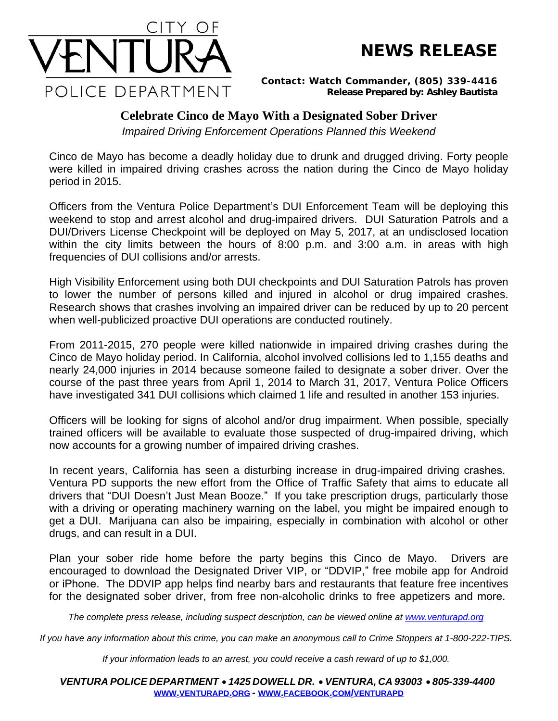



*Contact: Watch Commander, (805) 339-4416 Release Prepared by: Ashley Bautista*

## **Celebrate Cinco de Mayo With a Designated Sober Driver**

*Impaired Driving Enforcement Operations Planned this Weekend*

Cinco de Mayo has become a deadly holiday due to drunk and drugged driving. Forty people were killed in impaired driving crashes across the nation during the Cinco de Mayo holiday period in 2015.

Officers from the Ventura Police Department's DUI Enforcement Team will be deploying this weekend to stop and arrest alcohol and drug-impaired drivers. DUI Saturation Patrols and a DUI/Drivers License Checkpoint will be deployed on May 5, 2017, at an undisclosed location within the city limits between the hours of 8:00 p.m. and 3:00 a.m. in areas with high frequencies of DUI collisions and/or arrests.

High Visibility Enforcement using both DUI checkpoints and DUI Saturation Patrols has proven to lower the number of persons killed and injured in alcohol or drug impaired crashes. Research shows that crashes involving an impaired driver can be reduced by up to 20 percent when well-publicized proactive DUI operations are conducted routinely.

From 2011-2015, 270 people were killed nationwide in impaired driving crashes during the Cinco de Mayo holiday period. In California, alcohol involved collisions led to 1,155 deaths and nearly 24,000 injuries in 2014 because someone failed to designate a sober driver. Over the course of the past three years from April 1, 2014 to March 31, 2017, Ventura Police Officers have investigated 341 DUI collisions which claimed 1 life and resulted in another 153 injuries.

Officers will be looking for signs of alcohol and/or drug impairment. When possible, specially trained officers will be available to evaluate those suspected of drug-impaired driving, which now accounts for a growing number of impaired driving crashes.

In recent years, California has seen a disturbing increase in drug-impaired driving crashes. Ventura PD supports the new effort from the Office of Traffic Safety that aims to educate all drivers that "DUI Doesn't Just Mean Booze." If you take prescription drugs, particularly those with a driving or operating machinery warning on the label, you might be impaired enough to get a DUI. Marijuana can also be impairing, especially in combination with alcohol or other drugs, and can result in a DUI.

Plan your sober ride home before the party begins this Cinco de Mayo. Drivers are encouraged to download the Designated Driver VIP, or "DDVIP," free mobile app for Android or iPhone. The DDVIP app helps find nearby bars and restaurants that feature free incentives for the designated sober driver, from free non-alcoholic drinks to free appetizers and more.

The complete press release, including suspect description, can be viewed online at [www.venturapd.org](http://www.venturapd.org)

*If you have any information about this crime, you can make an anonymous call to Crime Stoppers at 1-800-222-TIPS.*

*If your information leads to an arrest, you could receive a cash reward of up to \$1,000.*

*VENTURA POLICE DEPARTMENT* · *1425 DOWELL DR.* · *VENTURA, CA 93003* · *805-339-4400* **WWW.[VENTURAPD](http://www.venturapd.org).ORG** *-* **WWW.FACEBOOK.COM/[VENTURAPD](http://www.facebook.com/venturapd)**